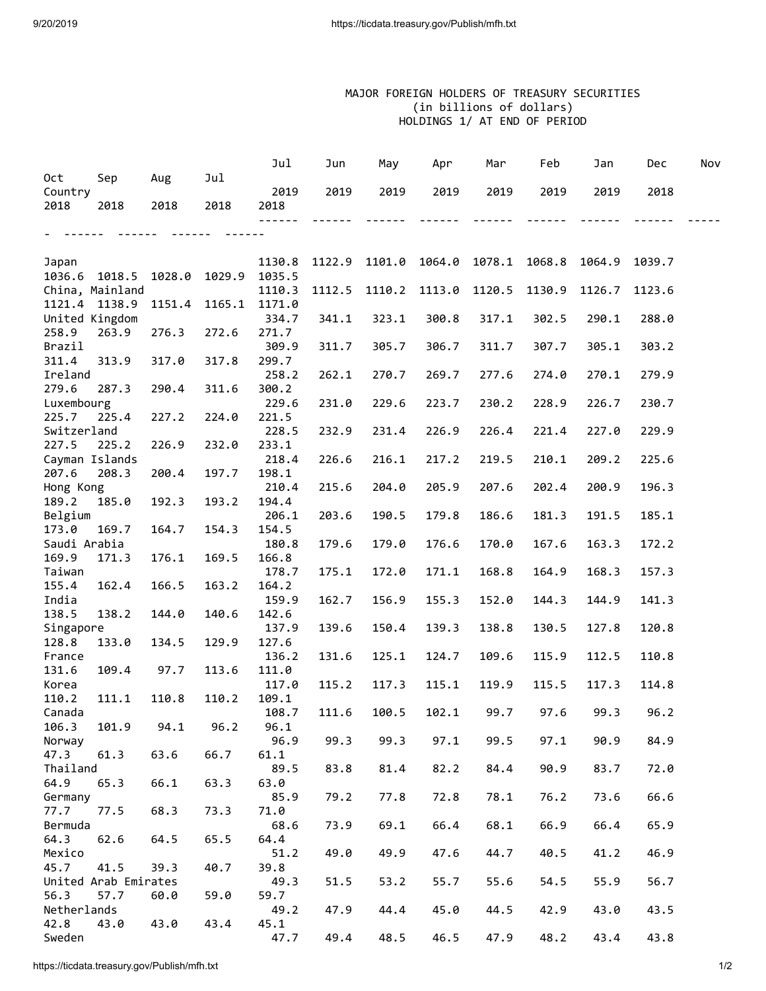## MAJOR FOREIGN HOLDERS OF TREASURY SECURITIES (in billions of dollars) HOLDINGS 1/ AT END OF PERIOD

|                       |                      |        |        | Jul              | Jun    | May    | Apr    | Mar    | Feb    | Jan    | Dec    | Nov |
|-----------------------|----------------------|--------|--------|------------------|--------|--------|--------|--------|--------|--------|--------|-----|
| 0ct                   | Sep                  | Aug    | Jul    |                  |        |        |        |        |        |        |        |     |
| Country               |                      |        |        | 2019             | 2019   | 2019   | 2019   | 2019   | 2019   | 2019   | 2018   |     |
| 2018                  | 2018                 | 2018   | 2018   | 2018             |        |        |        |        |        |        |        |     |
|                       |                      |        |        |                  |        |        |        |        |        |        |        |     |
|                       |                      |        |        |                  |        |        |        |        |        |        |        |     |
|                       |                      |        |        |                  |        |        |        | 1078.1 |        |        |        |     |
| Japan<br>1036.6       | 1018.5               | 1028.0 | 1029.9 | 1130.8<br>1035.5 | 1122.9 | 1101.0 | 1064.0 |        | 1068.8 | 1064.9 | 1039.7 |     |
|                       | China, Mainland      |        |        | 1110.3           | 1112.5 | 1110.2 | 1113.0 | 1120.5 | 1130.9 | 1126.7 | 1123.6 |     |
| 1121.4                | 1138.9               | 1151.4 | 1165.1 | 1171.0           |        |        |        |        |        |        |        |     |
|                       | United Kingdom       |        |        | 334.7            | 341.1  | 323.1  | 300.8  | 317.1  | 302.5  | 290.1  | 288.0  |     |
| 258.9                 | 263.9                | 276.3  | 272.6  | 271.7            |        |        |        |        |        |        |        |     |
| Brazil                |                      |        |        | 309.9            | 311.7  | 305.7  | 306.7  | 311.7  | 307.7  | 305.1  | 303.2  |     |
| 311.4                 | 313.9                | 317.0  | 317.8  | 299.7            |        |        |        |        |        |        |        |     |
| Ireland               |                      |        |        | 258.2            | 262.1  | 270.7  | 269.7  | 277.6  | 274.0  | 270.1  | 279.9  |     |
| 279.6                 | 287.3                | 290.4  | 311.6  | 300.2            |        |        |        |        |        |        |        |     |
| Luxembourg            |                      |        |        | 229.6            | 231.0  | 229.6  | 223.7  | 230.2  | 228.9  | 226.7  | 230.7  |     |
| 225.7                 | 225.4                | 227.2  | 224.0  | 221.5            |        |        |        |        |        |        |        |     |
| Switzerland           |                      |        |        | 228.5            | 232.9  | 231.4  | 226.9  | 226.4  | 221.4  | 227.0  | 229.9  |     |
| 227.5                 | 225.2                | 226.9  | 232.0  | 233.1            |        |        |        |        |        |        |        |     |
|                       | Cayman Islands       |        |        | 218.4            | 226.6  | 216.1  | 217.2  | 219.5  | 210.1  | 209.2  | 225.6  |     |
| 207.6                 | 208.3                | 200.4  | 197.7  | 198.1            |        |        |        |        |        |        |        |     |
| Hong Kong             |                      |        |        | 210.4            | 215.6  | 204.0  | 205.9  | 207.6  | 202.4  | 200.9  | 196.3  |     |
| 189.2                 | 185.0                | 192.3  | 193.2  | 194.4            |        |        |        |        |        |        |        |     |
| Belgium               |                      |        |        | 206.1            | 203.6  | 190.5  | 179.8  | 186.6  | 181.3  | 191.5  | 185.1  |     |
| 173.0<br>Saudi Arabia | 169.7                | 164.7  | 154.3  | 154.5<br>180.8   | 179.6  | 179.0  | 176.6  | 170.0  | 167.6  | 163.3  | 172.2  |     |
| 169.9                 | 171.3                | 176.1  | 169.5  | 166.8            |        |        |        |        |        |        |        |     |
| Taiwan                |                      |        |        | 178.7            | 175.1  | 172.0  | 171.1  | 168.8  | 164.9  | 168.3  | 157.3  |     |
| 155.4                 | 162.4                | 166.5  | 163.2  | 164.2            |        |        |        |        |        |        |        |     |
| India                 |                      |        |        | 159.9            | 162.7  | 156.9  | 155.3  | 152.0  | 144.3  | 144.9  | 141.3  |     |
| 138.5                 | 138.2                | 144.0  | 140.6  | 142.6            |        |        |        |        |        |        |        |     |
| Singapore             |                      |        |        | 137.9            | 139.6  | 150.4  | 139.3  | 138.8  | 130.5  | 127.8  | 120.8  |     |
| 128.8                 | 133.0                | 134.5  | 129.9  | 127.6            |        |        |        |        |        |        |        |     |
| France                |                      |        |        | 136.2            | 131.6  | 125.1  | 124.7  | 109.6  | 115.9  | 112.5  | 110.8  |     |
| 131.6                 | 109.4                | 97.7   | 113.6  | 111.0            |        |        |        |        |        |        |        |     |
| Korea                 |                      |        |        | 117.0            | 115.2  | 117.3  | 115.1  | 119.9  | 115.5  | 117.3  | 114.8  |     |
| 110.2                 | 111.1                | 110.8  | 110.2  | 109.1            |        |        |        |        |        |        |        |     |
| Canada                |                      |        |        | 108.7            | 111.6  | 100.5  | 102.1  | 99.7   | 97.6   | 99.3   | 96.2   |     |
| 106.3                 | 101.9                | 94.1   | 96.2   | 96.1             |        |        |        |        |        |        |        |     |
| Norway                |                      |        |        | 96.9             | 99.3   | 99.3   | 97.1   | 99.5   | 97.1   | 90.9   | 84.9   |     |
| 47.3                  | 61.3                 | 63.6   | 66.7   | 61.1             |        |        |        |        |        |        |        |     |
| Thailand              |                      |        |        | 89.5             | 83.8   | 81.4   | 82.2   | 84.4   | 90.9   | 83.7   | 72.0   |     |
| 64.9                  | 65.3                 | 66.1   | 63.3   | 63.0             |        |        |        |        |        |        |        |     |
| Germany               |                      |        |        | 85.9             | 79.2   | 77.8   | 72.8   | 78.1   | 76.2   | 73.6   | 66.6   |     |
| 77.7                  | 77.5                 | 68.3   | 73.3   | 71.0             |        | 69.1   | 66.4   |        |        |        |        |     |
| Bermuda<br>64.3       | 62.6                 | 64.5   | 65.5   | 68.6<br>64.4     | 73.9   |        |        | 68.1   | 66.9   | 66.4   | 65.9   |     |
| Mexico                |                      |        |        | 51.2             | 49.0   | 49.9   | 47.6   | 44.7   | 40.5   | 41.2   | 46.9   |     |
| 45.7                  | 41.5                 | 39.3   | 40.7   | 39.8             |        |        |        |        |        |        |        |     |
|                       | United Arab Emirates |        |        | 49.3             | 51.5   | 53.2   | 55.7   | 55.6   | 54.5   | 55.9   | 56.7   |     |
| 56.3                  | 57.7                 | 60.0   | 59.0   | 59.7             |        |        |        |        |        |        |        |     |
| Netherlands           |                      |        |        | 49.2             | 47.9   | 44.4   | 45.0   | 44.5   | 42.9   | 43.0   | 43.5   |     |
| 42.8                  | 43.0                 | 43.0   | 43.4   | 45.1             |        |        |        |        |        |        |        |     |
| Sweden                |                      |        |        | 47.7             | 49.4   | 48.5   | 46.5   | 47.9   | 48.2   | 43.4   | 43.8   |     |